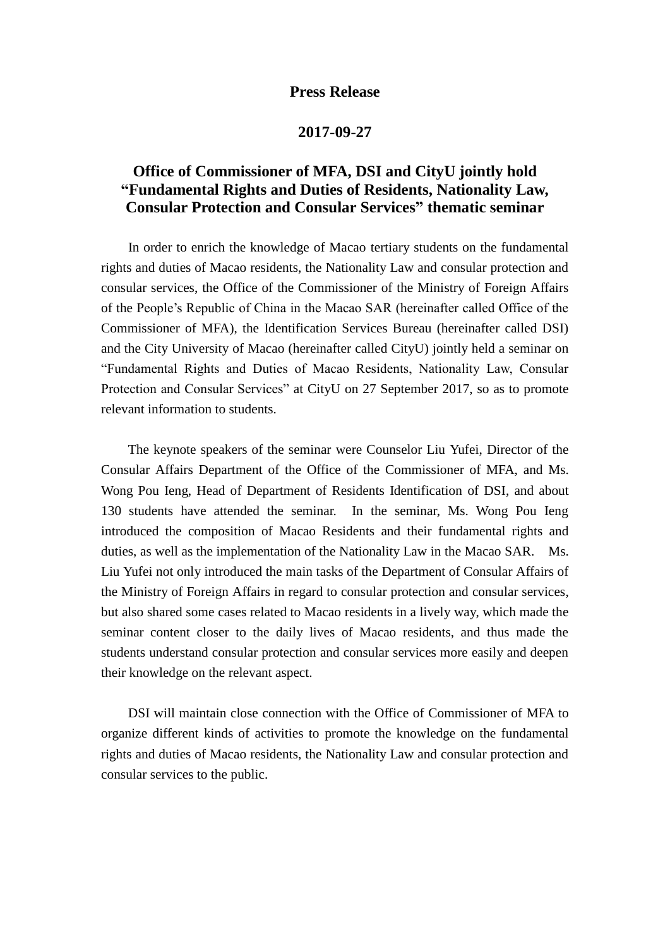## **Press Release**

## **2017-09-27**

## **Office of Commissioner of MFA, DSI and CityU jointly hold "Fundamental Rights and Duties of Residents, Nationality Law, Consular Protection and Consular Services" thematic seminar**

 In order to enrich the knowledge of Macao tertiary students on the fundamental rights and duties of Macao residents, the Nationality Law and consular protection and consular services, the Office of the Commissioner of the Ministry of Foreign Affairs of the People's Republic of China in the Macao SAR (hereinafter called Office of the Commissioner of MFA), the Identification Services Bureau (hereinafter called DSI) and the City University of Macao (hereinafter called CityU) jointly held a seminar on "Fundamental Rights and Duties of Macao Residents, Nationality Law, Consular Protection and Consular Services" at CityU on 27 September 2017, so as to promote relevant information to students.

 The keynote speakers of the seminar were Counselor Liu Yufei, Director of the Consular Affairs Department of the Office of the Commissioner of MFA, and Ms. Wong Pou Ieng, Head of Department of Residents Identification of DSI, and about 130 students have attended the seminar. In the seminar, Ms. Wong Pou Ieng introduced the composition of Macao Residents and their fundamental rights and duties, as well as the implementation of the Nationality Law in the Macao SAR. Ms. Liu Yufei not only introduced the main tasks of the Department of Consular Affairs of the Ministry of Foreign Affairs in regard to consular protection and consular services, but also shared some cases related to Macao residents in a lively way, which made the seminar content closer to the daily lives of Macao residents, and thus made the students understand consular protection and consular services more easily and deepen their knowledge on the relevant aspect.

 DSI will maintain close connection with the Office of Commissioner of MFA to organize different kinds of activities to promote the knowledge on the fundamental rights and duties of Macao residents, the Nationality Law and consular protection and consular services to the public.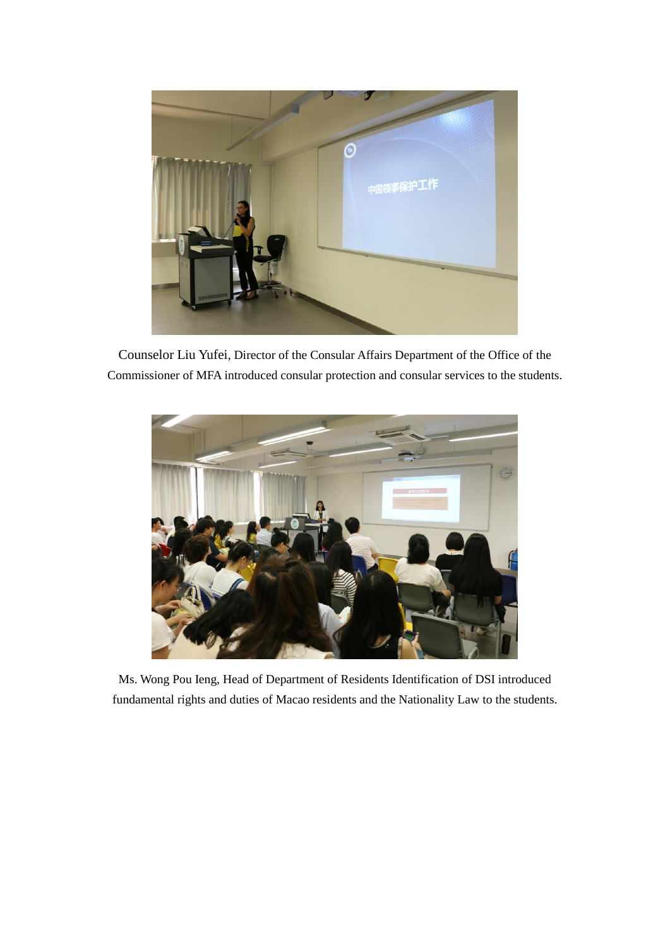

Counselor Liu Yufei, Director of the Consular Affairs Department of the Office of the Commissioner of MFA introduced consular protection and consular services to the students.



Ms. Wong Pou Ieng, Head of Department of Residents Identification of DSI introduced fundamental rights and duties of Macao residents and the Nationality Law to the students.